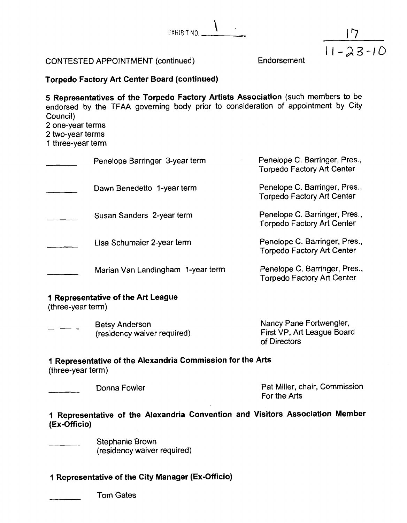$T$ 



# **Torpedo Factory Art Center Board (continued)**

**5 Representatives of the Torpedo Factory Artists Association** (such members to be endorsed by the TFAA governing body prior to consideration of appointment by City Council)

2 one-year terms

2 two-year terms

1 three-year term

| Penelope Barringer 3-year term    | Penelope C. Barringer, Pres.,<br><b>Torpedo Factory Art Center</b> |
|-----------------------------------|--------------------------------------------------------------------|
| Dawn Benedetto 1-year term        | Penelope C. Barringer, Pres.,<br><b>Torpedo Factory Art Center</b> |
| Susan Sanders 2-year term         | Penelope C. Barringer, Pres.,<br><b>Torpedo Factory Art Center</b> |
| Lisa Schumaier 2-year term        | Penelope C. Barringer, Pres.,<br><b>Torpedo Factory Art Center</b> |
| Marian Van Landingham 1-year term | Penelope C. Barringer, Pres.,<br><b>Torpedo Factory Art Center</b> |

## **1 Representative of the Art League**

(three-year term)

| Betsy Anderson              | Nancy Pane Fortwengler,    |
|-----------------------------|----------------------------|
| (residency waiver required) | First VP, Art League Board |
|                             | of Directors               |

# **1 Representative of the Alexandria Commission for the Arts**

 $(hree-year term)$ 

Donna Fowler **Pat Miller, chair, Commission** For the Arts

| 1 Representative of the Alexandria Convention and Visitors Association Member |  |  |  |  |
|-------------------------------------------------------------------------------|--|--|--|--|
| (Ex-Officio)                                                                  |  |  |  |  |

Stephanie Brown (residency waiver required)

# **I Representative of the City Manager (Ex-Officio)**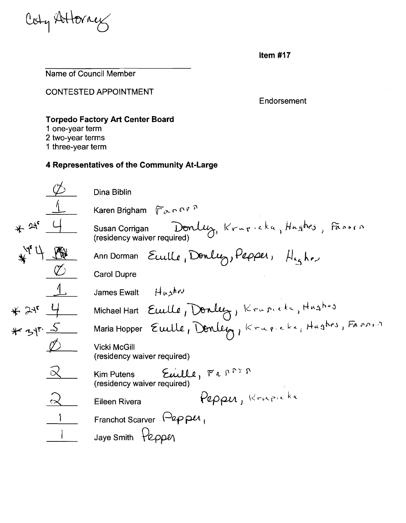Coty Attorn

Name of Council Member

CONTESTED APPOINTMENT

Endorsement

# **Torpedo Factory Art Center Board**

- **1** one-year term
- 2 two-year terms
- 1 three-year term

Dina Biblin Karen Brigham  $\sqrt[n]{\alpha}$  p P P  $*$  2<sup>1</sup>  $\frac{4}{\sqrt{2}}$  Susan Corrigan Donluz, Krupicka, Hnghes, Fassen (residency waiver required) Euille, Donly, Pepper,  $H_{4a}$ ke Ann Dorman<br>Carol Dupre James Ewalt **it water** Michael Hart Euille, Donley, Krapicke, Hushos  $*24$ 13 Maria Hopper Eucle, Donley, Krue.<br>
2 Vicki McGill<br>
(residency waiver required)<br>
2 Kim Putens Eucle, Fa<sup>ppy</sup>  $\overline{\text{W}}$  Vicki McGill<br>
(recidency weiver required) (residency waiver required) (residency waiver required) Eileen Rivera  $\rho_{\ell\rho\rho\mu}$ , Krupicka Franchot Scarver  $\sqrt{\frac{2}{2}}$ P $\mu$ Jaye Smith  $\forall$ eppen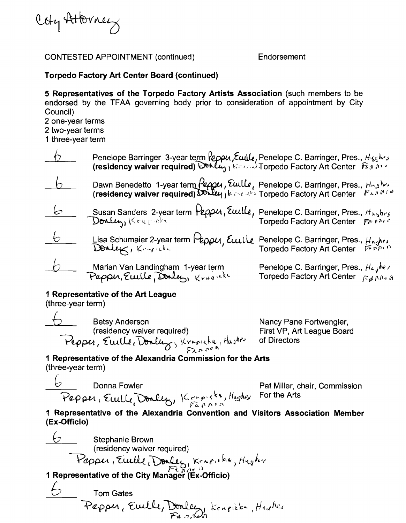Coly Attorney

# **Torpedo Factory Art Center Board (continued)**

**5 Representatives of the Torpedo Factory Artists Association** (such niembers to be endorsed by the TFAA governing body prior to consideration of appointment by City Council)

2 one-year terms

2 two-year terms

1 three-year term

|            | Penelope Barringer 3-year term <i>Peppu, Ewille, Penelope C. Barringer, Pres., Hyghes</i><br>(residency waiver required) Donly, Kerensi Torpedo Factory Art Center Figgons                                                                                        |                                                                                                                                       |
|------------|-------------------------------------------------------------------------------------------------------------------------------------------------------------------------------------------------------------------------------------------------------------------|---------------------------------------------------------------------------------------------------------------------------------------|
|            | Dawn Benedetto 1-year term <i>Peppu</i> , Euille, Penelope C. Barringer, Pres., Hughes (residency waiver required) $\sum_{k=1}^{\infty}$ (residency waiver required) $\sum_{k=1}^{\infty}$ (residency waiver required) $\sum_{k=1}^{\infty}$ ( $k \in \mathbb{Z}$ |                                                                                                                                       |
| ヒ          | Susan Sanders 2-year term Peppu, Euille, Penelope C. Barringer, Pres., Hushes<br>Donly, Krapeka                                                                                                                                                                   |                                                                                                                                       |
| $\epsilon$ | Lisa Schumaier 2-year term Peppu, Euille                                                                                                                                                                                                                          | Penelope C. Barringer, Pres., H <sub>ngher</sub><br>Torpedo Factory Art Center                                                        |
|            | Marian Van Landingham 1-year term<br>Peppu, Ewille, Donly, Krugnek                                                                                                                                                                                                | Penelope C. Barringer, Pres., $H_{a,j}$ <i>be</i> /<br>Torpedo Factory Art Center $\int_{\mathcal{L}_{d}^{d}} \rho \rho_{d} \rho_{d}$ |

# **1 Representative of the Art League**

(three-year term)

example and Betsy Anderson<br>
Betsy Anderson Nancy Pane Fortwengler, residency waiver required) First VP, Art League Board<br>Pepper, Ewille, Donly, Krigheki, Hus<sup>hes</sup> of Directors

# **1 Representative of the Alexandria Commission for the Arts**  (three-year term)

 $\overline{\mathcal{C}}$  Donna Fowler Pat Miller, chair, Commission

rativition, or<br>For the Arts

**1 Representative of the Alexandria convention and Visitors Association Member (Ex-Officio)** 

 $\overleftarrow{C}$  Stephanie Brown (residency waiver required) Papper, Euille Donley, Krapitha, Hugher<br>1 Representative of the City Manager (Ex-Officio)<br>6 Tom Gates<br>Pepper, Euille, Donley, Krupick, Hugher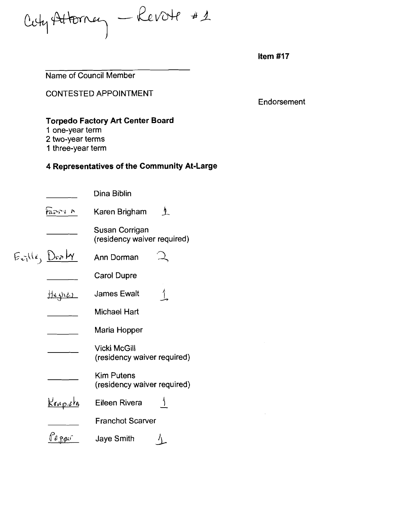Cety Attorney - Revote #1

Name of Council Member

CONTESTED APPOINTMENT

Endorsement

# **Torpedo Factory Art Center Board**

- **1** one-year term
- 2 two-year terms
- 1 three-year term

|                                                    | Dina Biblin                                      |
|----------------------------------------------------|--------------------------------------------------|
| faos i r                                           | Karen Brigham<br>ŋ.                              |
|                                                    | Susan Corrigan<br>(residency waiver required)    |
| $E_{\text{val}}(l_{1},\underline{D_{\text{tot}}})$ | Ann Dorman                                       |
|                                                    | <b>Carol Dupre</b>                               |
| 114 <u>4 res</u>                                   | <b>James Ewalt</b>                               |
|                                                    | <b>Michael Hart</b>                              |
|                                                    | Maria Hopper                                     |
|                                                    | Vicki McGill<br>(residency waiver required)      |
|                                                    | <b>Kim Putens</b><br>(residency waiver required) |
| <u>Krupich</u>                                     | Eileen Rivera                                    |
|                                                    | <b>Franchot Scarver</b>                          |
|                                                    | <b>Jaye Smith</b>                                |
|                                                    |                                                  |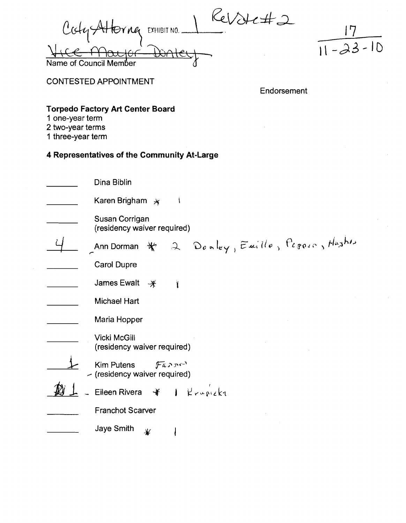$\mathcal{C}$ Cody Altorney EXHIBIT NO. Dater Name of Council



**CONTESTED APPOINTMENT** 

Endorsement

# **Torpedo Factory Art Center Board**

- 1 one-year term
- 2 two-year terms
- 1 three-year term

| Dina Biblin                                                                                               |
|-----------------------------------------------------------------------------------------------------------|
| Karen Brigham $*$                                                                                         |
| Susan Corrigan<br>(residency waiver required)                                                             |
| Ann Dorman $\ast$ 2 Donley, Emille, Pegore, Hashin                                                        |
| Carol Dupre                                                                                               |
| James Ewalt<br>$\mathscr{H}$                                                                              |
| Michael Hart                                                                                              |
| Maria Hopper                                                                                              |
| <b>Vicki McGill</b><br>(residency waiver required)                                                        |
| Kim Putens<br>$\int \widetilde{F}$ a $\Gamma$ $\Gamma$ <sup>1</sup><br>$\sim$ (residency waiver required) |
| Eileen Rivera $\mathscr{H}$   $\mathscr{K} \sim \sqrt{\mathscr{K} \cdot \mathscr{K}}$                     |
| <b>Franchot Scarver</b>                                                                                   |
| <b>Jaye Smith</b><br>₩                                                                                    |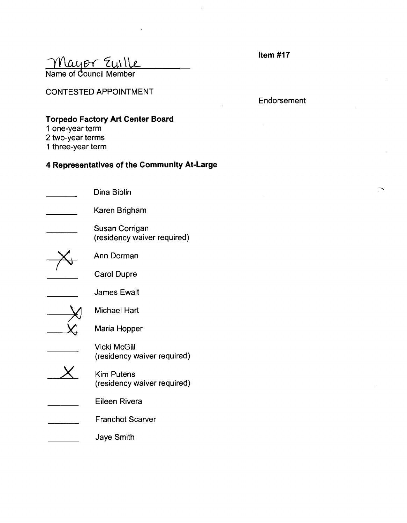Mayor Euille

CONTESTED APPOINTMENT

**Endorsement** 

# **Torpedo Factory Art Center Board**

- **1** one-year term
- 2 two-year terms
- 1 three-year term

| Dina Biblin                                        |
|----------------------------------------------------|
| Karen Brigham                                      |
| Susan Corrigan<br>(residency waiver required)      |
| Ann Dorman                                         |
| <b>Carol Dupre</b>                                 |
| <b>James Ewalt</b>                                 |
| Michael Hart                                       |
| Maria Hopper                                       |
| <b>Vicki McGill</b><br>(residency waiver required) |
| <b>Kim Putens</b><br>(residency waiver required)   |
| Eileen Rivera                                      |
| <b>Franchot Scarver</b>                            |
| Jaye Smith                                         |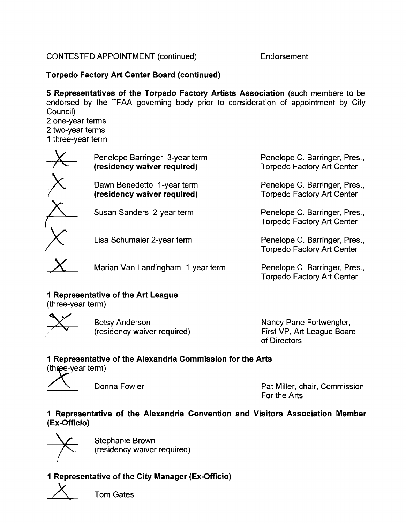# **Torpedo Factory Art Center Board (continued)**

**5 Representatives of the Torpedo Factory Artists Association** (such members to be endorsed by the TFAA governing body prior to consideration of appointment by City Council)

2 one-year terms

2 two-year terms

1 three-year term

| Penelope Barringer 3-year term<br>(residency waiver required) | Penelope C. Barringer, Pres.,<br><b>Torpedo Factory Art Center</b> |
|---------------------------------------------------------------|--------------------------------------------------------------------|
| Dawn Benedetto 1-year term<br>(residency waiver required)     | Penelope C. Barringer, Pres.,<br><b>Torpedo Factory Art Center</b> |
| Susan Sanders 2-year term                                     | Penelope C. Barringer, Pres.,<br><b>Torpedo Factory Art Center</b> |
| Lisa Schumaier 2-year term                                    | Penelope C. Barringer, Pres.,                                      |

Marian Van Landingham 1-year term Penelope C. Barringer, Pres.,

# **1 Representative of the Art League**

(three-year term)

Betsy Anderson v (Residency waiver required) Nancy Pane Fortwengler, (residency waiver required)

First VP, Art League Board of Directors

Torpedo Factory Art Center

Torpedo Factory Art Center

# **1 Representative of the Alexandria Commission for the Arts**

(three-year term)

Donna Fowler **Pat Miller, chair, Commission** For the Arts

# **1 Representative of the Alexandria Convention and Visitors Association Member (Ex-Officio)**



Stephanie Brown (residency waiver required)

# **1 Representative of the City Manager (Ex-Officio)**

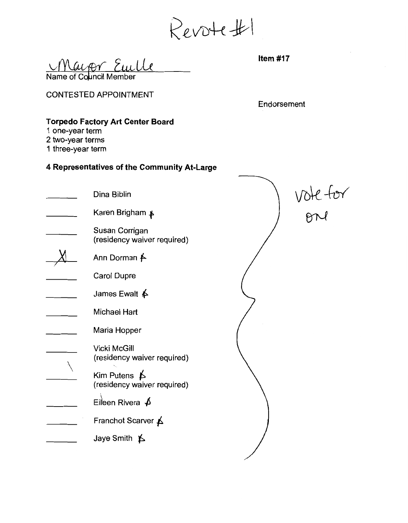Revote#1

<u>Cuille</u><br>
Same of Council Member

# **Torpedo Factory Art Center Board**

- **1** one-year term
- 2 two-year terms
- 1 three-year term

|                                                          | <b>CONTESTED APPOINTMENT</b>                         | Endorsement |          |
|----------------------------------------------------------|------------------------------------------------------|-------------|----------|
| 1 one-year term<br>2 two-year terms<br>1 three-year term | <b>Torpedo Factory Art Center Board</b>              |             |          |
|                                                          | 4 Representatives of the Community At-Large          |             |          |
|                                                          | Dina Biblin                                          |             | vote for |
|                                                          | Karen Brigham ≱                                      |             |          |
|                                                          | Susan Corrigan<br>(residency waiver required)        |             |          |
|                                                          | Ann Dorman <del>∱</del>                              |             |          |
|                                                          | Carol Dupre                                          |             |          |
|                                                          | James Ewalt $\oint$                                  |             |          |
|                                                          | Michael Hart                                         |             |          |
|                                                          | Maria Hopper                                         |             |          |
|                                                          | Vicki McGill<br>(residency waiver required)          |             |          |
|                                                          | Kim Putens $\uparrow$<br>(residency waiver required) |             |          |
|                                                          | Eileen Rivera $\oint$                                |             |          |
|                                                          | Franchot Scarver A                                   |             |          |
|                                                          | Jaye Smith $\uparrow$                                |             |          |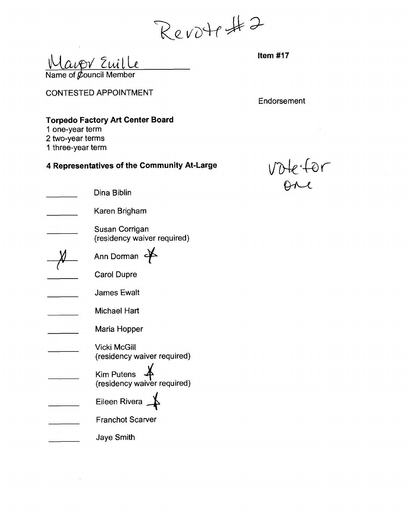Revotest 2

upr Euille Name of  $&$  pouncil Member

CONTESTED APPOINTMENT

Endorsement

# **Torpedo Factory Art Center Board**

- **1** one-year term
- 2 two-year terms
- I three-year term

 $\mathcal{L}$ 

# **4 Representatives of the Community At-Large**

vote:for

 $\mathcal{L}_{\mathrm{eff}}$ 

| Dina Biblin                                      |
|--------------------------------------------------|
| Karen Brigham                                    |
| Susan Corrigan<br>(residency waiver required)    |
| Ann Dorman                                       |
| <b>Carol Dupre</b>                               |
| James Ewalt                                      |
| <b>Michael Hart</b>                              |
| Maria Hopper                                     |
| Vicki McGill<br>(residency waiver required)      |
| <b>Kim Putens</b><br>(residency waiver required) |
| Eileen Rivera                                    |
| <b>Franchot Scarver</b>                          |
| <b>Jaye Smith</b>                                |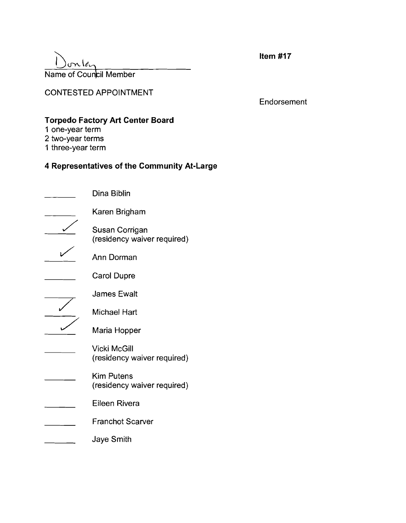# $\sum_{\text{O}}$  on  $\ell$ <br>Name of Council Member

**Item #I7** 

CONTESTED APPOINTMENT

Endorsement

# **Torpedo Factory Art Center Board**

- **1** one-year term
- 2 two-year terms
- 1 three-year term

| Dina Biblin                                      |
|--------------------------------------------------|
| Karen Brigham                                    |
| Susan Corrigan<br>(residency waiver required)    |
| Ann Dorman                                       |
| <b>Carol Dupre</b>                               |
| <b>James Ewalt</b>                               |
| Michael Hart                                     |
| Maria Hopper                                     |
| Vicki McGill<br>(residency waiver required)      |
| <b>Kim Putens</b><br>(residency waiver required) |
| Eileen Rivera                                    |
| <b>Franchot Scarver</b>                          |
| Jaye Smith                                       |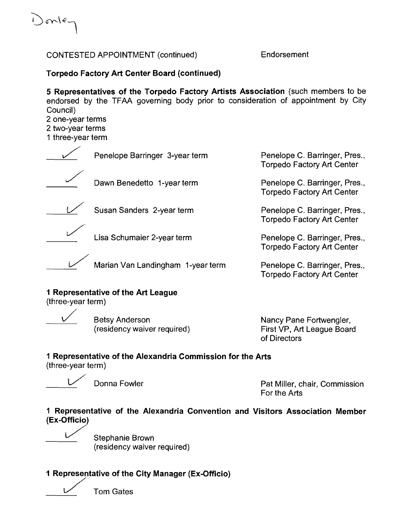Donle

# **Torpedo Factory Art Center Board (continued)**

**5 Representatives of the Torpedo Factory Artists Association** (such members to be endorsed by the TFAA governing body prior to consideration of appointment by City Council)

| Council)<br>2 one-year terms<br>2 two-year terms<br>1 three-year term |                                   |                                                                    |
|-----------------------------------------------------------------------|-----------------------------------|--------------------------------------------------------------------|
|                                                                       | Penelope Barringer 3-year term    | Penelope C. Barringer, Pres.,<br><b>Torpedo Factory Art Center</b> |
|                                                                       | Dawn Benedetto 1-year term        | Penelope C. Barringer, Pres.,<br><b>Torpedo Factory Art Center</b> |
|                                                                       | Susan Sanders 2-year term         | Penelope C. Barringer, Pres.,<br><b>Torpedo Factory Art Center</b> |
|                                                                       | Lisa Schumaier 2-year term        | Penelope C. Barringer, Pres.,<br><b>Torpedo Factory Art Center</b> |
|                                                                       | Marian Van Landingham 1-year term | Penelope C. Barringer, Pres.,<br><b>Torpedo Factory Art Center</b> |

## **1 Representative of the Art League**

(three-year term)

**Betsy Anderson** (residency waiver required)

Nancy Pane Fortwengler, First VP, Art League Board of Directors

# **1 Representative of the Alexandria Commission for the Arts**<br>
(three-year term)<br>
Donna Fowler Pat Miller, chair, Commission<br>
For the Arts

(three-year term)



For the Arts

# **1 Representative of the Alexandria Convention and Visitors Association Member (Ex-Officio)**

 $U$ Stephanie Brown (residency waiver required)

# **1 Representative of the City Manager (Ex-Officio)**   $\overbrace{ }^{3}$

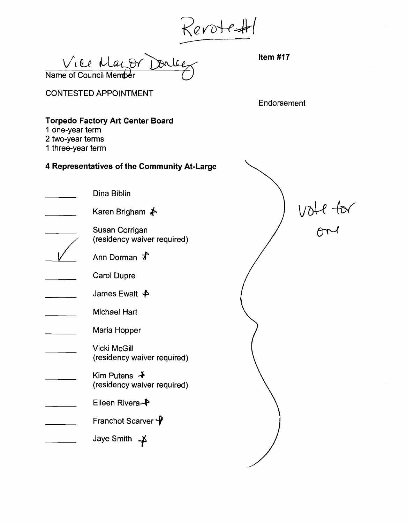Revotest

 $V_1$  ee Maz, or Donleez Hem #17 Name of Council Member

CONTESTED APPOINTMENT

Endorsement

# **Torpedo Factory Art Center Board**

- **1** one-year term
- 2 two-year terms
- 1 three-year term

# **4 Representatives of the Community At-Large**

Jaye Smith  $\rightarrow$ 

Endorsement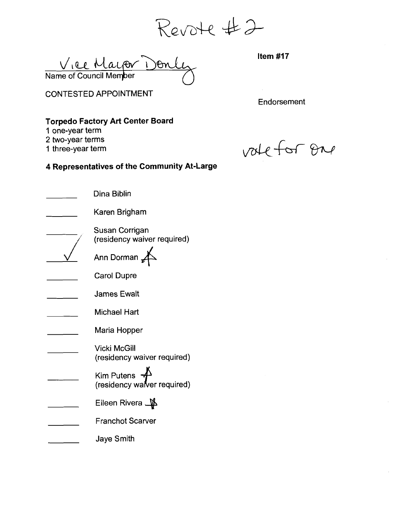Vice Mayor De Name of Council Mem<mark>ber</mark>

CONTESTED APPOINTMENT

**Endorsement** 

# **Torpedo Factory Art Center Board**

1 one-year term

2 two-year terms

1 three-year term

vale for one

| Dina Biblin                                                        |
|--------------------------------------------------------------------|
| Karen Brigham                                                      |
| Susan Corrigan<br>(residency waiver required)                      |
| Ann Dorman                                                         |
| <b>Carol Dupre</b>                                                 |
| <b>James Ewalt</b>                                                 |
| Michael Hart                                                       |
| Maria Hopper                                                       |
| Vicki McGill<br>(residency waiver required)                        |
| Kim Putens $\overline{\mathcal{A}}$<br>(residency waiver required) |
| Eileen Rivera <b>_∯</b>                                            |
| <b>Franchot Scarver</b>                                            |
| Jaye Smith                                                         |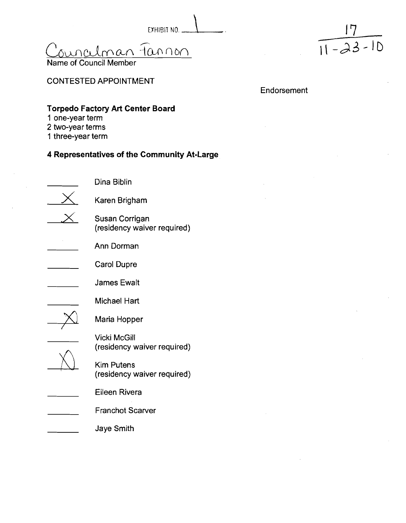minalman 1annon

Name of

EXHIBIT NO. 1 17  $|1 - 23 - 10|$ 

# CONTESTED APPOINTMENT

Endorsement

# **Torpedo Factory Art Center Board**

- **1** one-year term
- 2 two-year terms
- 1 three-year term

# **4 Representatives of the Community At-Large**

Dina Biblin Karen Brigham Susan Corrigan (residency waiver required) Ann Dorman Carol Dupre James Ewalt Michael Hart Maria Hopper Vicki McGill (residency waiver required)  $\hat{N}$ , Kim Putens (residency waiver required) Eileen Rivera Franchot Scarver

Jaye Smith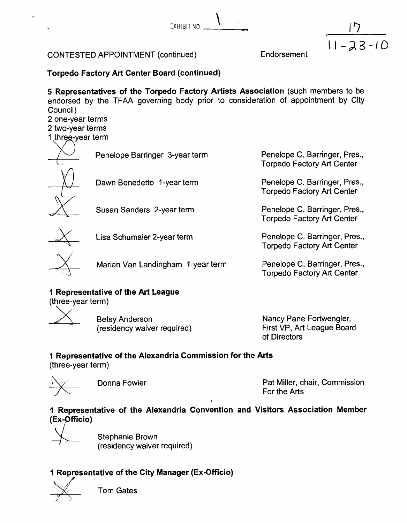EYHIBIT NO. \ .

# CONTESTED APPOINTMENT (continued)

Endorsement

I I *-23-10* 

# **Torpedo Factory Art Center Board (continued)**

**5 Representatives of the Torpedo Factory Artists Association** (such members to be endorsed by the TFAA governing body prior to consideration of appointment by City Council)

2 one-year terms 2 two-year terms

1 threg-year term

Penelope Barringer 3-year term

Penelope Barringer 3-year term<br>
Dawn Benedetto 1-year term Dawn Benedetto 1-year term<br>
Susan Sanders 2-year term

Lisa Schumaier 2-year term Penelope C. Barringer, Pres.,

Marian Van Landingham 1-year term Penelope C. Barringer, Pres.,

# **1 Representative of tlie Art League**

(three-year term)

Betsy Anderson (residency waiver required) Nancy Pane Fortwengler, First VP, Art League Board of Directors

Penelope C. Barringer, Pres., Torpedo Factory Art Center

Penelope C. Barringer, Pres., Torpedo Factory Art Center

Penelope C. Barringer, Pres., Torpedo Factory Art Center

Torpedo Factory Art Center

Torpedo Factory Art Center

# **1 Representative of the Alexandria Commission for the Arts**

(three-year term)



Donna Fowler **Pat Miller, chair, Commission** For the Arts ,

# **1 Representative of the Alexandria Convention and Visitors Association Member (Ex-pfficio)**



Stephanie Brown (residency waiver required)

# **1 Representative of the City Manager (Ex-Officio) <sup>1</sup>**

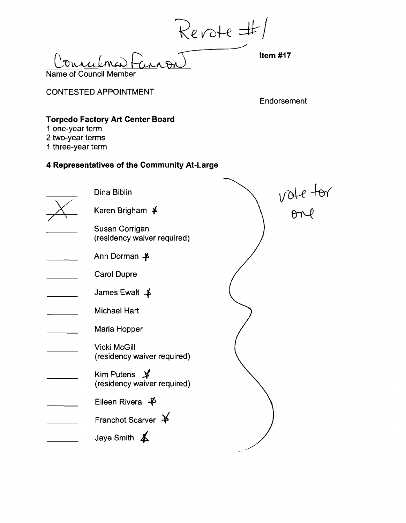Revote #/

Name of Council Member

CONTESTED APPOINTMENT

**Endorsement** 

# **Torpedo Factory Art Center Board**

- **1** one-year term
- 2 two-year terms
- 1 three-year term

| Dina Biblin                                               |          |
|-----------------------------------------------------------|----------|
| Karen Brigham ¥                                           | VOLE ton |
| Susan Corrigan<br>(residency waiver required)             |          |
| Ann Dorman $\clubsuit$                                    |          |
| <b>Carol Dupre</b>                                        |          |
| James Ewalt $\uparrow$                                    |          |
| <b>Michael Hart</b>                                       |          |
| Maria Hopper                                              |          |
| <b>Vicki McGill</b><br>(residency waiver required)        |          |
| Kim Putens $\cancel{\ast}$<br>(residency waiver required) |          |
| Eileen Rivera $\oint$                                     |          |
| Franchot Scarver $\cancel{+}$                             |          |
| Jaye Smith $\triangle$                                    |          |
|                                                           |          |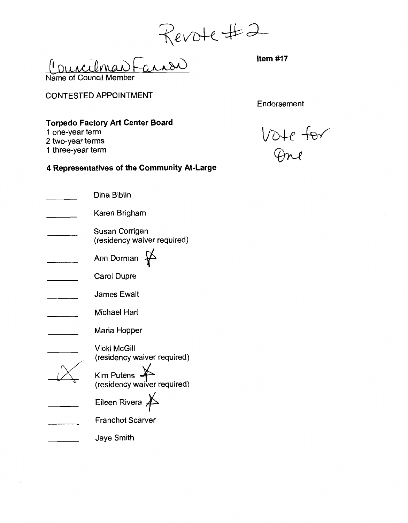Revote #2

CONTESTED APPOINTMENT

Endorsement

# **Torpedo Factory Art Center Board**

- **1** one-year term
- 2 two-year terms
- 1 three-year term

| Dina Biblin                                   |
|-----------------------------------------------|
| Karen Brigham                                 |
| Susan Corrigan<br>(residency waiver required) |
| Ann Dorman                                    |
| Carol Dupre                                   |
| <b>James Ewalt</b>                            |
| <b>Michael Hart</b>                           |
| Maria Hopper                                  |
| Vicki McGill<br>(residency waiver required)   |
| Kim Putens<br>(residency waiver required)     |
| Eileen Rivera                                 |
| Franchot Scarver                              |
| Jaye Smith                                    |

Vote for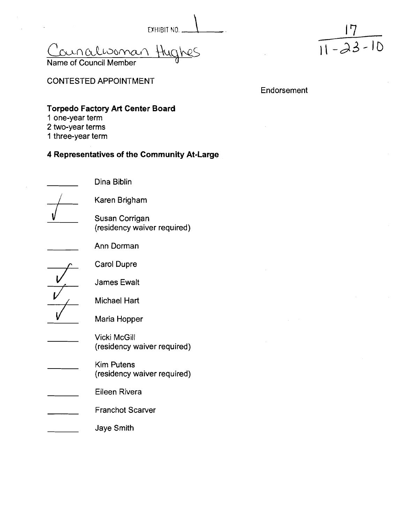Councilisoman Hughes Name of Council Member



CONTESTED APPOINTMENT

Endorsement

# **Torpedo Factory Art Center Board**

Dina Biblin

Karen Brigham

Susan Corrigan

(residency waiver required)

- **1** one-year term
- 2 two-year terms
- 1 three-year term

# **4 Representatives of the Community At-Large**

Carol Dupre

Ann Dorman



Michael Hart



Maria Hopper

Vicki McGill (residency waiver required)

- Kim Putens (residency waiver required)
- Eileen Rivera
- Franchot Scarver
- Jaye Smith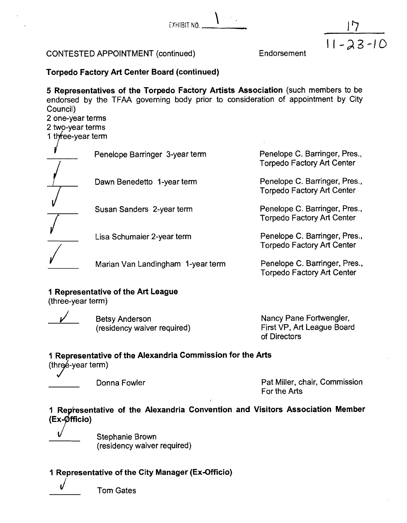EXHIBIT NO. 1.

# CONTESTED APPOINTMENT (continued)

Endorsement

 $11 - 23 - 10$ 

# **Torpedo Factory Art Center Board (continued)**

**5 Representatives of the Torpedo Factory Artists Association** (such members to be endorsed by the TFAA governing body prior to consideration of appointment by City Council)

2 one-year terms

2 two-year terms

1 three-year term

Penelope Barringer 3-year term Penelope C. Barringer, Pres.,

Dawn Benedetto 1-year term Penelope C. Barringer, Pres., Fres., Forpedo Factory Art Center I orpedo Factory Art Center<br>■ Susan Sanders 2-year term Penelope C. Barringer, Pres.,

Susan Sanders 2-year term<br>
Torpedo Factory Art Center<br>
Torpedo Factory Art Center

/

Lisa Schumaier 2-year term

Marian Van Landingham 1-year term Penelope C. Barringer, Pres.,

**1 Representative of the Art League** 

(three-year term)

**Betsy Anderson** (residency waiver required) Nancy Pane Fortwengler, First VP, Art League Board

of Directors

Torpedo Factory Art Center

**Torpedo Factory Art Center** 

Torpedo Factory Art Center

Penelope C. Barringer, Pres., Torpedo Factory Art Center

# **1 Representative of the Alexandria Commission for the Arts**

(three-year term)

Donna Fowler **Pat Miller, chair, Commission** For the Arts

**1 Representative of the Alexandria Convention and Visitors Association Member**  $(Ex-Øfficio)$ 

Stephanie Brown (residency waiver required)

# **1 Representative of the City Manager (Ex-Officio)**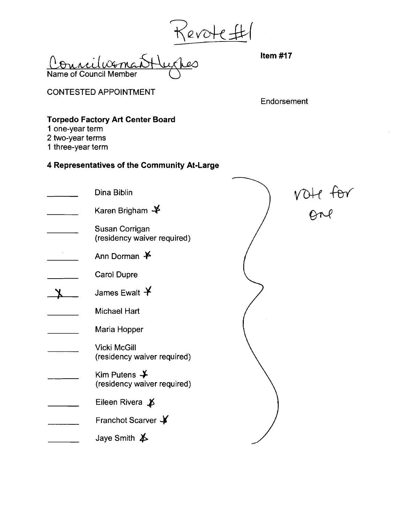Revote #

CONTESTED APPOINTMENT

**Endorsement** 

# **Torpedo Factory Art Center Board**

- **1** one-year term
- 2 two-year terms
- 1 three-year term

| Dina Biblin                                             |           |
|---------------------------------------------------------|-----------|
| Karen Brigham $\clubsuit$                               | $VOH$ tor |
| Susan Corrigan<br>(residency waiver required)           |           |
| Ann Dorman $\mathbf{\n 4}$                              |           |
| <b>Carol Dupre</b>                                      |           |
| James Ewalt $\bm{\mathsf{Y}}$                           |           |
| <b>Michael Hart</b>                                     |           |
| Maria Hopper                                            |           |
| <b>Vicki McGill</b><br>(residency waiver required)      |           |
| Kim Putens $\rightarrow$<br>(residency waiver required) |           |
| Eileen Rivera $\cancel{B}$                              |           |
| Franchot Scarver \                                      |           |
| Jaye Smith $\cancel{\blacktriangleright}$               |           |
|                                                         |           |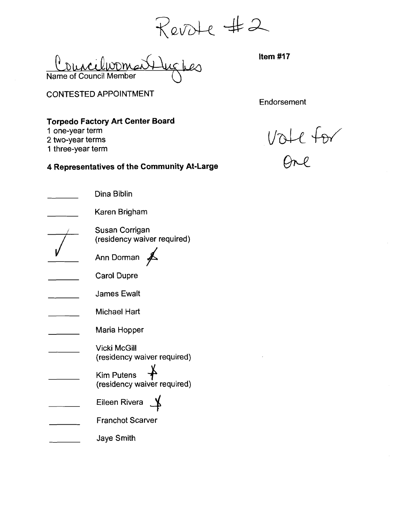Revote #2<br><del>U</del>ughes Hem#17

Councilvomai Name of Council Member

CONTESTED APPOINTMENT

**Endorsement** 

# **Torpedo Factory Art Center Board**

**1** one-year term

2 two-year terms

I three-year term

1 one-year term<br>
2 two-year term<br>
4 Representatives of the Community At-Large<br>
4 Representatives of the Community At-Large<br>
2 One

| Dina Biblin                                        |
|----------------------------------------------------|
| Karen Brigham                                      |
| Susan Corrigan<br>(residency waiver required)      |
| Ann Dorman                                         |
| Carol Dupre                                        |
| <b>James Ewalt</b>                                 |
| <b>Michael Hart</b>                                |
| Maria Hopper                                       |
| <b>Vicki McGill</b><br>(residency waiver required) |
| Kim Putens<br>(residency waiver required)          |
| Eileen Rivera                                      |
| <b>Franchot Scarver</b>                            |
| Jaye Smith                                         |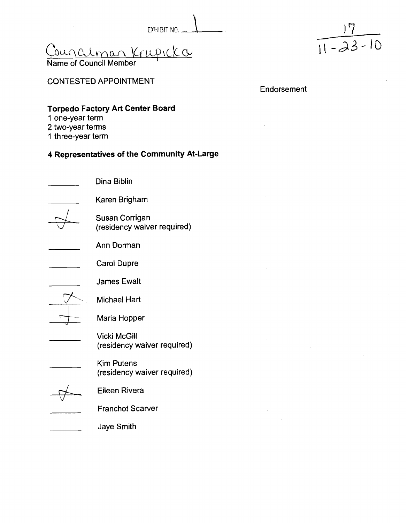EXHIBIT NO. 1

<u>Councilman Krupicko</u>

Name of Council Member

CONTESTED APPOINTMENT

Endorsement

# **Torpedo Factory Art Center Board**

- **1** one-year term
- 2 two-year terms
- 1 three-year term

# **4 Representatives of the Community At-Large**

Dina Biblin Karen Brigham Susan Corrigan (residency waiver required) Ann Dorman Carol Dupre James Ewalt James Ewalt<br>Michael Hart<br>Maria Hopper Vicki McGill (residency waiver required) Kim Putens (residency waiver required) Eileen Rivera Franchot Scarver Jaye Smith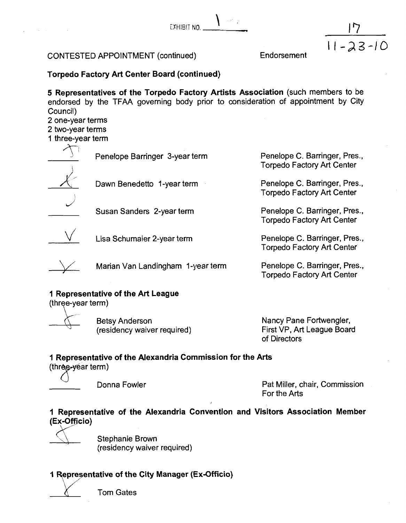$E$ XHIBIT NO.

 $11 - 23 - 10$ 

**Torpedo Factory Art Center Board (continued)** 

**5 Representatives of the Torpedo Factory Artists Association** (such members to be endorsed by the TFAA governing body prior to consideration of appointment by City Council)

2 one-year terms

2 two-year terms

1 three-year term

| Penelope Barringer 3-year term | Penelope C. Barringer, Pres.,<br><b>Torpedo Factory Art Center</b> |
|--------------------------------|--------------------------------------------------------------------|
| Dawn Benedetto 1-year term     | Penelope C. Barringer, Pres.,<br><b>Torpedo Factory Art Center</b> |
| Susan Sanders 2-year term      | Penelope C. Barringer, Pres.,<br><b>Torpedo Factory Art Center</b> |

Lisa Schumaier 2-year term

Marian Van Landingham I-year term

# **1 Representative of the Art League**

**Betsy Anderson** (residency waiver required) Nancy Pane Fortwengler, First VP, Art League Board of Directors

Penelope C. Barringer, Pres., Torpedo Factory Art Center

Penelope C. Barringer, Pres., Torpedo Factory Art Center

# **I Representative of the Alexandria Commission for the Arts**

 $($ three- $\sqrt{e}$ ar term $)$ 

Donna Fowler **Pat Miller, chair, Commission** For the Arts

# **I Representative of the Alexandria Convention and Visitors Association Member (Ey ci0)**

Stephanie Brown (residency waiver required)

# **1 Representative of the City Manager (Ex-Officio)**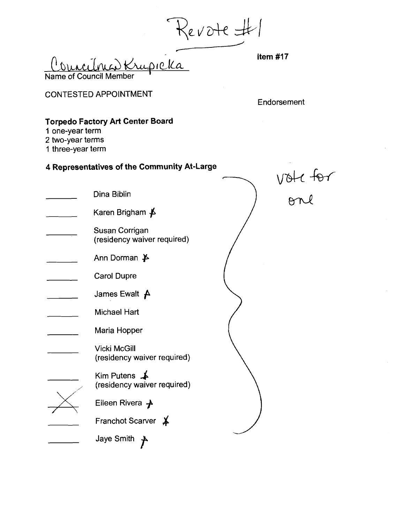Revote #1<br>Councileur de la france de la france de la france de la france de la france de la france de la france de la france de la france de la france de la france de la france de la france de la france de la france de la Name of Council

CONTESTED APPOINTMENT

Endorsement

# **Torpedo Factory Art Center Board**

- **1** one-year term
- 2 two-year terms
- 1 three-year term

| 1 one-year term<br>2 two-year terms<br>1 three-year term |                                                       |  |          |
|----------------------------------------------------------|-------------------------------------------------------|--|----------|
|                                                          | 4 Representatives of the Community At-Large           |  |          |
|                                                          | Dina Biblin                                           |  | vote tor |
|                                                          | Karen Brigham <b>≸</b>                                |  |          |
|                                                          | Susan Corrigan<br>(residency waiver required)         |  |          |
|                                                          | Ann Dorman $\cancel{\blacktriangleright}$             |  |          |
|                                                          | Carol Dupre                                           |  |          |
|                                                          | James Ewalt $\uparrow$                                |  |          |
|                                                          | <b>Michael Hart</b>                                   |  |          |
|                                                          | Maria Hopper                                          |  |          |
|                                                          | <b>Vicki McGill</b><br>(residency waiver required)    |  |          |
|                                                          | Kim Putens $\clubsuit$<br>(residency waiver required) |  |          |
|                                                          | Eileen Rivera $\rightarrow$                           |  |          |
|                                                          | Franchot Scarver *                                    |  |          |
|                                                          | Jaye Smith                                            |  |          |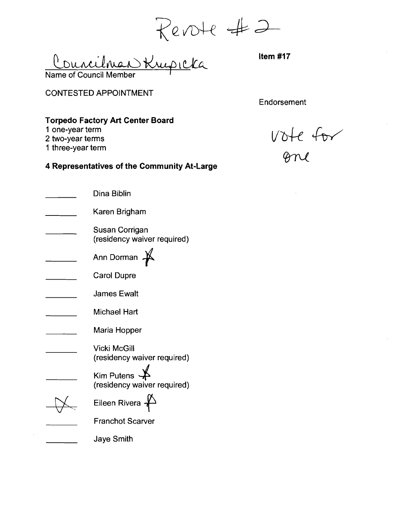Revote #2  $\int$ 

CONTESTED APPOINTMENT

Endorsement

# **Torpedo Factory Art Center Board**

- **1** one-year term
- 2 two-year terms
- 1 three-year term

vote for

| Dina Biblin                                                    |
|----------------------------------------------------------------|
| Karen Brigham                                                  |
| Susan Corrigan<br>(residency waiver required)                  |
| Ann Dorman                                                     |
| <b>Carol Dupre</b>                                             |
| <b>James Ewalt</b>                                             |
| Michael Hart                                                   |
| Maria Hopper                                                   |
| <b>Vicki McGill</b><br>(residency waiver required)             |
| Kim Putens $\overrightarrow{A}$<br>(residency waiver required) |
| Eileen Rivera                                                  |
| <b>Franchot Scarver</b>                                        |
| <b>Jaye Smith</b>                                              |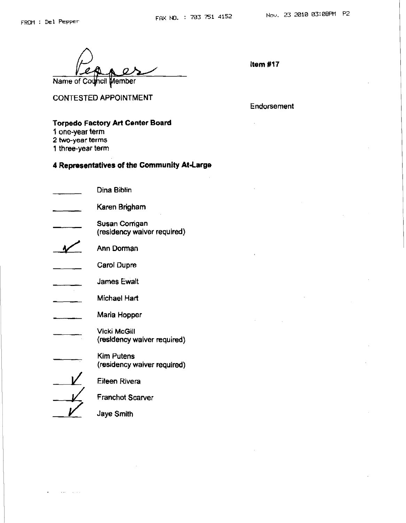**CONTESTED APPOINTMENT** 

**Endorsement** 

### **Torpedo Factory Art Center Board**

- **1 one-year term**
- **2 two-year terms**
- **1 three-year term**

| Dina Biblin                                        |
|----------------------------------------------------|
| Karen Brigham                                      |
| Susan Comgan<br>(residency waiver required)        |
| Ann Dorman                                         |
| Carol Dupre                                        |
| <b>James Ewalt</b>                                 |
| Michael Hart                                       |
| Maria Hopper                                       |
| <b>Vicki McGill</b><br>(residency waiver required) |
| Kim Putens<br>(residency waiver required)          |
| Eileen Rivera                                      |
| <b>Franchot Scarver</b>                            |
| Jaye Smith                                         |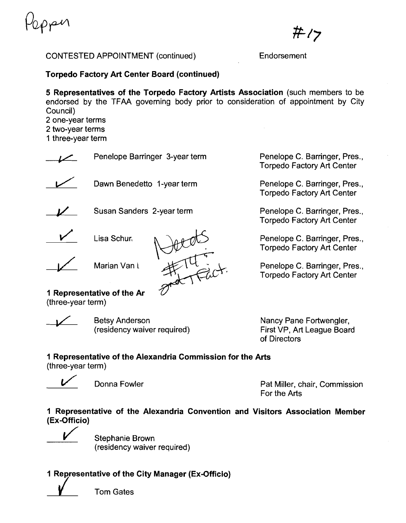ppen

ポク

**Torpedo Factory Art Center Board (continued)** 

**5 Representatives of the Torpedo Factory Artists Association** (such members to be endorsed by the TFAA governing body prior to consideration of appointment by City Council) 2 one-year terms

2 two-year terms

1 three-year term

Penelope Barringer 3-year term<br>
Dawn Benedetto 1-year term **Susan Sanders 2-year term** Penelope C. Barringer, Pres., Torpedo Factory Art Center Penelope C. Barringer, Pres., Torpedo Factory Art Center

Jetas

Penelope C. Barringer, Pres., Torpedo Factory Art Center

Penelope C. Barringer, Pres., Torpedo Factory Art Center

Penelope C. Barringer, Pres., Torpedo Factory Art Center

**1 Representative of the Ar**  (three-year term)

Lisa Schur

Marian Van L

Betsy Anderson (residency waiver required)

Nancy Pane Fortwengler, First VP, Art League Board of Directors

# **I Representative of the Alexandria Commission for the Arts**

(three-year term)

J Donna Fowler Pat Miller, chair, Commission For the Arts

**1 Representative of the Alexandria Convention and Visitors Association Member (Ex-Officio)** 

Stephanie Brown (residency waiver required)

# **1 Representative of the City Manager (Ex-Officio)** /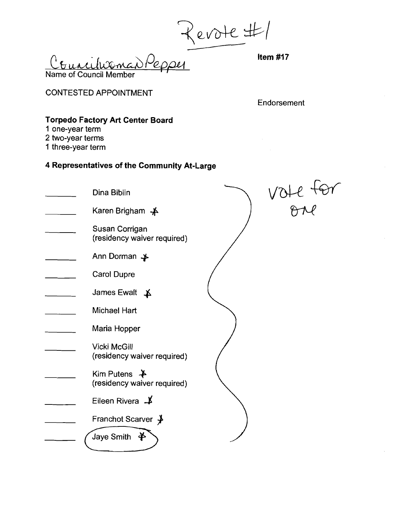Revote #1

Name of Council Member

CONTESTED APPOINTMENT

Endorsement

 $\overline{ }$ 

# **Torpedo Factory Art Center Board**

- **1** one-year term
- 2 two-year terms
- 1 three-year term

| Dina Biblin                                             |  |
|---------------------------------------------------------|--|
| Karen Brigham $\clubsuit$                               |  |
| Susan Corrigan<br>(residency waiver required)           |  |
| Ann Dorman ≱                                            |  |
| <b>Carol Dupre</b>                                      |  |
| James Ewalt $\uparrow$                                  |  |
| <b>Michael Hart</b>                                     |  |
| Maria Hopper                                            |  |
| <b>Vicki McGill</b><br>(residency waiver required)      |  |
| Kim Putens $\rightarrow$<br>(residency waiver required) |  |
| Eileen Rivera $\downarrow$                              |  |
| Franchot Scarver ≱                                      |  |
| Jaye Smith<br>$\mathbf{\ast}$                           |  |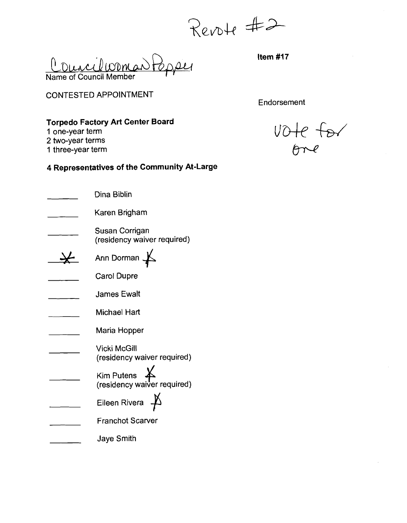Revote #2

Councilcoman Papper Name of Council Member

CONTESTED APPOINTMENT

**Endorsement** 

# **Torpedo Factory Art Center Board**

**1** one-year term

2 two-year terms I three-year term

| Dina Biblin                                            |
|--------------------------------------------------------|
| Karen Brigham                                          |
| Susan Corrigan<br>(residency waiver required)          |
| Arin Dorman                                            |
| <b>Carol Dupre</b>                                     |
| James Ewalt                                            |
| Michael Hart                                           |
| Maria Hopper                                           |
| Vicki McGill<br>(residency waiver required)            |
| Kim Putens $\cancel{4}$<br>(residency waiver required) |
| Eileen Rivera                                          |
| <b>Franchot Scarver</b>                                |
| <b>Jaye Smith</b>                                      |

vote for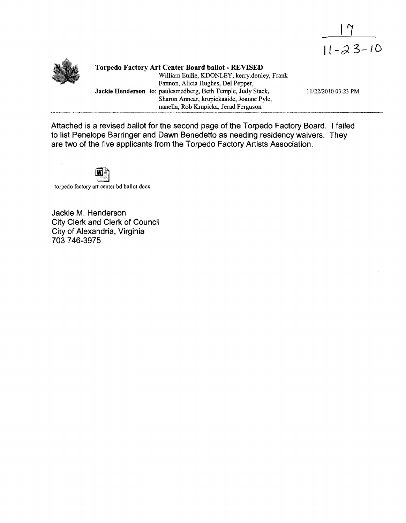



**Torpedo Factory Art Center Board ballot** - **REVISED**  William Euille, KDONLEY, kerry.donley, Frank Fannon, Alicia Hughes, Del Pepper, **Jackie Henderson** to: paulcsmedberg, Beth Temple, Judy Stack, 11/22/2010 03:23 PM Sharon Annear, krupickaaide, Joanne Pyle, nanella, Rob Krupicka, Jerad Ferguson

Attached is a revised ballot for the second page of the Torpedo Factory Board. I failed to list Penelope Barringer and Dawn Benedetto as needing residency waivers. They are two of the five applicants from the Torpedo Factory Artists Association.



torpedo factory art center bd ballot.docx

Jackie M. Henderson City Clerk and Clerk of Council City of Alexandria, Virginia 703 746-3975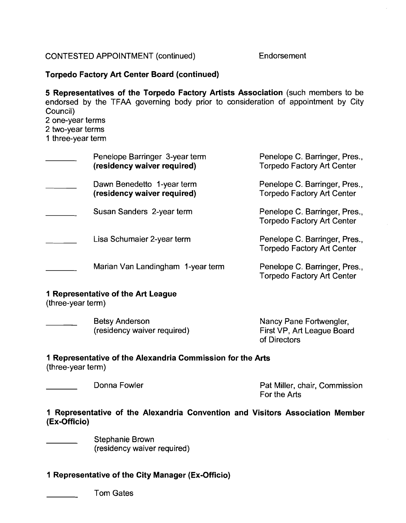# **Torpedo Factory Art Center Board (continued)**

**5 Representatives of the Torpedo Factory Artists Association** (such members to be endorsed by the TFAA governing body prior to consideration of appointment by City Council)

2 one-year terms

2 two-year terms

1 three-year term

| Penelope Barringer 3-year term<br>(residency waiver required) | Penelope C. Barringer, Pres.,<br><b>Torpedo Factory Art Center</b> |
|---------------------------------------------------------------|--------------------------------------------------------------------|
| Dawn Benedetto 1-year term<br>(residency waiver required)     | Penelope C. Barringer, Pres.,<br><b>Torpedo Factory Art Center</b> |
| Susan Sanders 2-year term                                     | Penelope C. Barringer, Pres.,<br><b>Torpedo Factory Art Center</b> |
| Lisa Schumaier 2-year term                                    | Penelope C. Barringer, Pres.,<br><b>Torpedo Factory Art Center</b> |
| Marian Van Landingham 1-year term                             | Penelope C. Barringer, Pres.,<br><b>Torpedo Factory Art Center</b> |

## **1 Representative of the Art League**

(three-year term)

| Betsy Anderson              | Nancy Pane Fortwengler,    |
|-----------------------------|----------------------------|
| (residency waiver required) | First VP, Art League Board |
|                             | of Directors               |

# **1 Representative of the Alexandria Commission for the Arts**

(three-year term)

Donna Fowler **Pat Miller, chair, Commission** For the Arts

# **1 Representative of the Alexandria Convention and Visitors Association Member (Ex-Officio)**

Stephanie Brown (residency waiver required)

# **1 Representative of the City Manager (Ex-Officio)**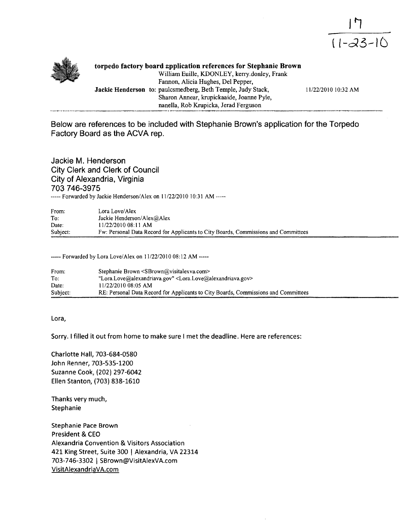



**torpedo factory board srpplication references for Stephanie Brown**  William Euille, KDONLEY, kerry.donley, Frank Fannon, Alicia Hughes, Del Pepper, **Jackie Henderson** *to:* paulcsmedberg, Beth Temple, Judy Stack, 11/22/2010 10:32 AM Sharon Annear, krupickaaide, Joanne Pyle, nanella, Rob Krupicka, Jerad Ferguson

**Below are references to be included with Stephanie Brown's application for the Torpedo Factory Board as the ACVA rep.** 

**Jackie M. Henderson City Clerk and Clerk of Council City of Alexandria, Virginia 703 746-3975**  ----- Forwarded by Jackie Henderson/Alex on 11/22/2010 10:31 AM -----

| From:    | Lora Love/Alex                                                                     |
|----------|------------------------------------------------------------------------------------|
| To:      | Jackie Henderson/Alex@Alex                                                         |
| Date:    | 11/22/2010 08:11 AM                                                                |
| Subject: | Fw: Personal Data Record for Applicants to City Boards, Commissions and Committees |

----- Forwarded by Lora Love/Alex on 11/22/2010 08:12 AM -----

| From:    | Stephanie Brown <sbrown@visitalexva.com></sbrown@visitalexva.com>                      |
|----------|----------------------------------------------------------------------------------------|
| To:      | "Lora.Love@alexandriava.gov" <lora.love@alexandriava.gov></lora.love@alexandriava.gov> |
| Date:    | 11/22/2010 08:05 AM                                                                    |
| Subject: | RE: Personal Data Record for Applicants to City Boards, Commissions and Committees     |

**Lora,** 

**Sorry. I filled it out from home to make sure I met the deadline. Here are references:** 

**Charlotte Hall, 703-684-0580 John Renner, 703-535-1200 Suzanne Cook, (202) 297-6042 Ellen Stanton, (703) 838-1610** 

**Thanks very much, Stephanie** 

**Stephanie Pace Brown President** & **CEO Alexandria Convention** & **Visitors Association 421 King Street, Suite 300** ( **Alexandria, VA 22314 703-746-3302** 1 **SBrown@VisitAlexVA.com VisitAlexandriaVA.com**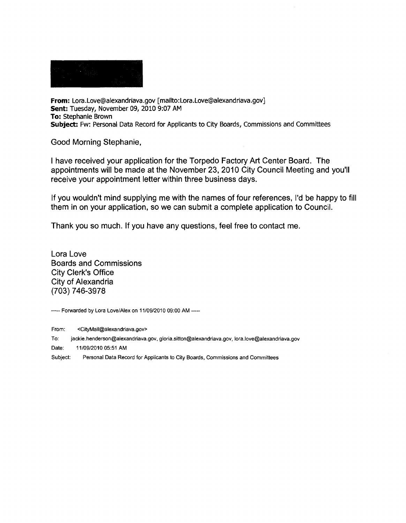**From: Lora.Love@alexandriava.gov [mailto:Lora.Love@alexandriava.gov] Sent: Tuesday, November 09, 2010 9:07 AM To: Stephanie Brown Subject: Fw: Personal Data Record for Applicants to City Boards, Commissions and Committees** 

Good Morning Stephanie,

I have received your application for the Torpedo Factory Art Center Board. The appointments will be made at the November 23, 2010 City Council Meeting and you'll receive your appointment letter within three business days.

If you wouldn't mind supplying me with the names of four references, I'd be happy to fill them in on your application, so we can submit a complete application to Council.

Thank you so much. If you have any questions, feel free to contact me.

Lora Love Boards and Commissions City Clerk's Office City of Alexandria (703) 746-3978

----- **Forwarded by Lora LoveIAlex on 11/09/2010 09:OO AM** -----

**From: <CityMaiI@alexandriava.gov>** 

**To: jackie,henderson@alexandriava.gov, gloria.sitton@alexandriava.gov, lora.love@alexandriava.gov** 

Date: 11/09/2010 05:51 AM

**Subject: Personal Data Record for Applicants to City Boards, Commissions and Committees**